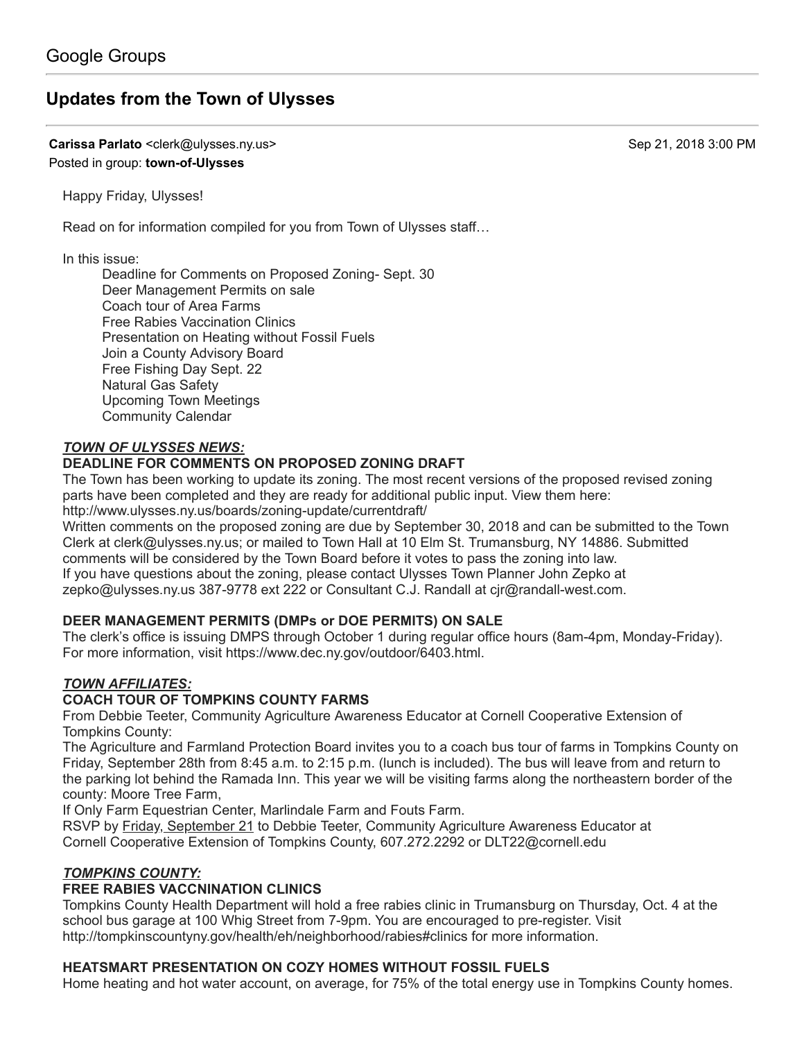# **[Updates from the Town of Ulysses](https://groups.google.com/d/topic/town-of-ulysses/YWHaTf2hENk)**

**Carissa Parlato** <clerk@ulysses.ny.us> Sep 21, 2018 3:00 PM Posted in group: **[town-of-Ulysses](https://groups.google.com/d/forum/town-of-ulysses)**

Happy Friday, Ulysses!

Read on for information compiled for you from Town of Ulysses staff…

In this issue:

Deadline for Comments on Proposed Zoning- Sept. 30 Deer Management Permits on sale Coach tour of Area Farms Free Rabies Vaccination Clinics Presentation on Heating without Fossil Fuels Join a County Advisory Board Free Fishing Day Sept. 22 Natural Gas Safety Upcoming Town Meetings Community Calendar

## *TOWN OF ULYSSES NEWS:*

### **DEADLINE FOR COMMENTS ON PROPOSED ZONING DRAFT**

The Town has been working to update its zoning. The most recent versions of the proposed revised zoning parts have been completed and they are ready for additional public input. View them here: <http://www.ulysses.ny.us/boards/zoning-update/currentdraft/>

Written comments on the proposed zoning are due by September 30, 2018 and can be submitted to the Town Clerk at [clerk@ulysses.ny.us](http://clerk@ulysses.ny.u/); or mailed to Town Hall at 10 Elm St. Trumansburg, NY 14886. Submitted comments will be considered by the Town Board before it votes to pass the zoning into law. If you have questions about the zoning, please contact Ulysses Town Planner John Zepko at [zepko@ulysses.ny.us](mailto:zepko@ulysses.ny.us) 387-9778 ext 222 or Consultant C.J. Randall at [cjr@randall-west.com.](mailto:cjr@randall-west.com)

# **DEER MANAGEMENT PERMITS (DMPs or DOE PERMITS) ON SALE**

The clerk's office is issuing DMPS through October 1 during regular office hours (8am-4pm, Monday-Friday). For more information, visit <https://www.dec.ny.gov/outdoor/6403.html.>

# *TOWN AFFILIATES:*

# **COACH TOUR OF TOMPKINS COUNTY FARMS**

From Debbie Teeter, Community Agriculture Awareness Educator at Cornell Cooperative Extension of Tompkins County:

The Agriculture and Farmland Protection Board invites you to a coach bus tour of farms in Tompkins County on Friday, September 28th from 8:45 a.m. to 2:15 p.m. (lunch is included). The bus will leave from and return to the parking lot behind the Ramada Inn. This year we will be visiting farms along the northeastern border of the county: Moore Tree Farm,

If Only Farm Equestrian Center, Marlindale Farm and Fouts Farm.

RSVP by Friday, September 21 to Debbie Teeter, Community Agriculture Awareness Educator at Cornell Cooperative Extension of Tompkins County, 607.272.2292 or [DLT22@cornell.edu](mailto:DLT22@cornell.edu)

### *TOMPKINS COUNTY:*

# **FREE RABIES VACCNINATION CLINICS**

Tompkins County Health Department will hold a free rabies clinic in Trumansburg on Thursday, Oct. 4 at the school bus garage at 100 Whig Street from 7-9pm. You are encouraged to pre-register. Visit <http://tompkinscountyny.gov/health/eh/neighborhood/rabies#clinics> for more information.

### **HEATSMART PRESENTATION ON COZY HOMES WITHOUT FOSSIL FUELS**

Home heating and hot water account, on average, for 75% of the total energy use in Tompkins County homes.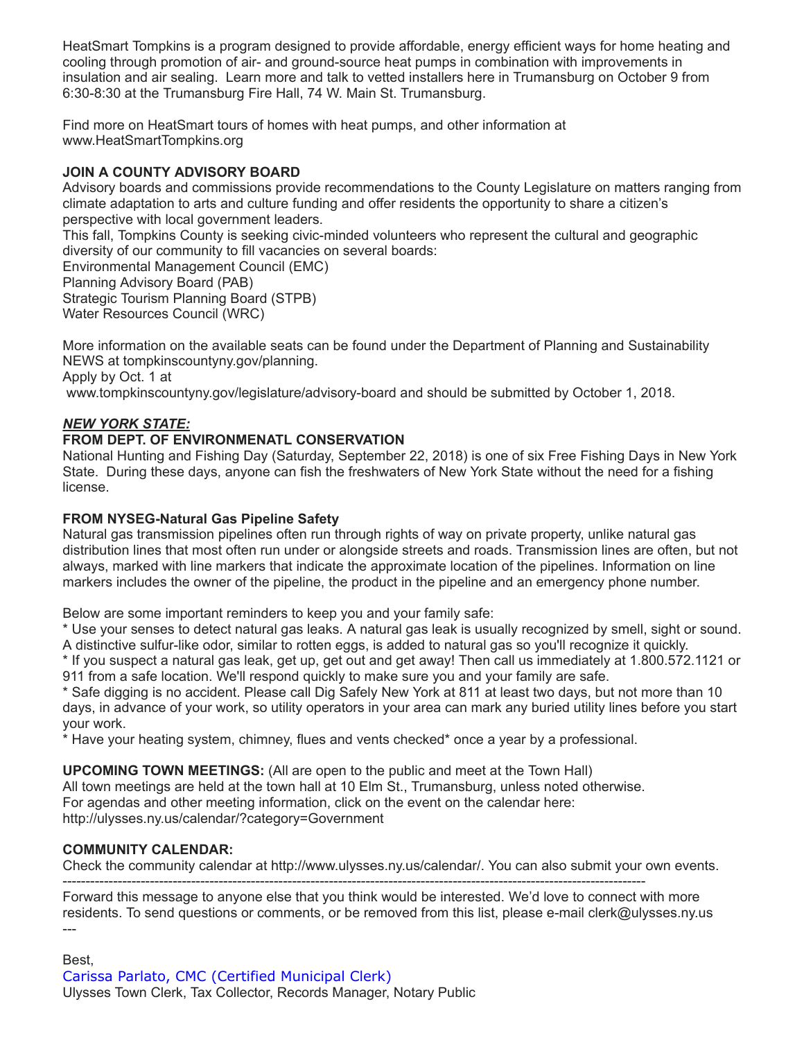HeatSmart Tompkins is a program designed to provide affordable, energy efficient ways for home heating and cooling through promotion of air- and ground-source heat pumps in combination with improvements in insulation and air sealing. Learn more and talk to vetted installers here in Trumansburg on October 9 from 6:30-8:30 at the Trumansburg Fire Hall, 74 W. Main St. Trumansburg.

Find more on HeatSmart tours of homes with heat pumps, and other information at [www.HeatSmartTompkins.org](http://www.heatsmarttompkins.org/)

## **JOIN A COUNTY ADVISORY BOARD**

Advisory boards and commissions provide recommendations to the County Legislature on matters ranging from climate adaptation to arts and culture funding and offer residents the opportunity to share a citizen's perspective with local government leaders.

This fall, Tompkins County is seeking civic-minded volunteers who represent the cultural and geographic diversity of our community to fill vacancies on several boards:

Environmental Management Council (EMC) Planning Advisory Board (PAB) Strategic Tourism Planning Board (STPB) Water Resources Council (WRC)

More information on the available seats can be found under the Department of Planning and Sustainability NEWS at [tompkinscountyny.gov/planning.](http://tompkinscountyny.gov/planning) Apply by Oct. 1 at

[www.tompkinscountyny.gov/legislature/advisory-board](http://www.tompkinscountyny.gov/legislature/advisory-board) and should be submitted by October 1, 2018.

## *NEW YORK STATE:*

## **FROM DEPT. OF ENVIRONMENATL CONSERVATION**

National Hunting and Fishing Day (Saturday, September 22, 2018) is one of six Free Fishing Days in New York State. During these days, anyone can fish the freshwaters of New York State without the need for a fishing license.

#### **FROM NYSEG-Natural Gas Pipeline Safety**

Natural gas transmission pipelines often run through rights of way on private property, unlike natural gas distribution lines that most often run under or alongside streets and roads. Transmission lines are often, but not always, marked with line markers that indicate the approximate location of the pipelines. Information on line markers includes the owner of the pipeline, the product in the pipeline and an emergency phone number.

Below are some important reminders to keep you and your family safe:

\* Use your senses to detect natural gas leaks. A natural gas leak is usually recognized by smell, sight or sound. A distinctive sulfur-like odor, similar to rotten eggs, is added to natural gas so you'll recognize it quickly.

\* If you suspect a natural gas leak, get up, get out and get away! Then call us immediately at 1.800.572.1121 or 911 from a safe location. We'll respond quickly to make sure you and your family are safe.

\* Safe digging is no accident. Please call Dig Safely New York at 811 at least two days, but not more than 10 days, in advance of your work, so utility operators in your area can mark any buried utility lines before you start your work.

\* Have your heating system, chimney, flues and vents checked\* once a year by a professional.

**UPCOMING TOWN MEETINGS:** (All are open to the public and meet at the Town Hall) All town meetings are held at the town hall at 10 Elm St., Trumansburg, unless noted otherwise. For agendas and other meeting information, click on the event on the calendar here: <http://ulysses.ny.us/calendar/?category=Government>

### **COMMUNITY CALENDAR:**

Check the community calendar at [http://www.ulysses.ny.us/calendar/.](http://www.ulysses.ny.us/calendar/) You can also submit your own events.

------------------------------------------------------------------------------------------------------------------------------- Forward this message to anyone else that you think would be interested. We'd love to connect with more residents. To send questions or comments, or be removed from this list, please e-mail [clerk@ulysses.ny.us](mailto:clerk@ulysses.ny.us) ---

Best, Carissa Parlato, CMC (Certified Municipal Clerk) Ulysses Town Clerk, Tax Collector, Records Manager, Notary Public